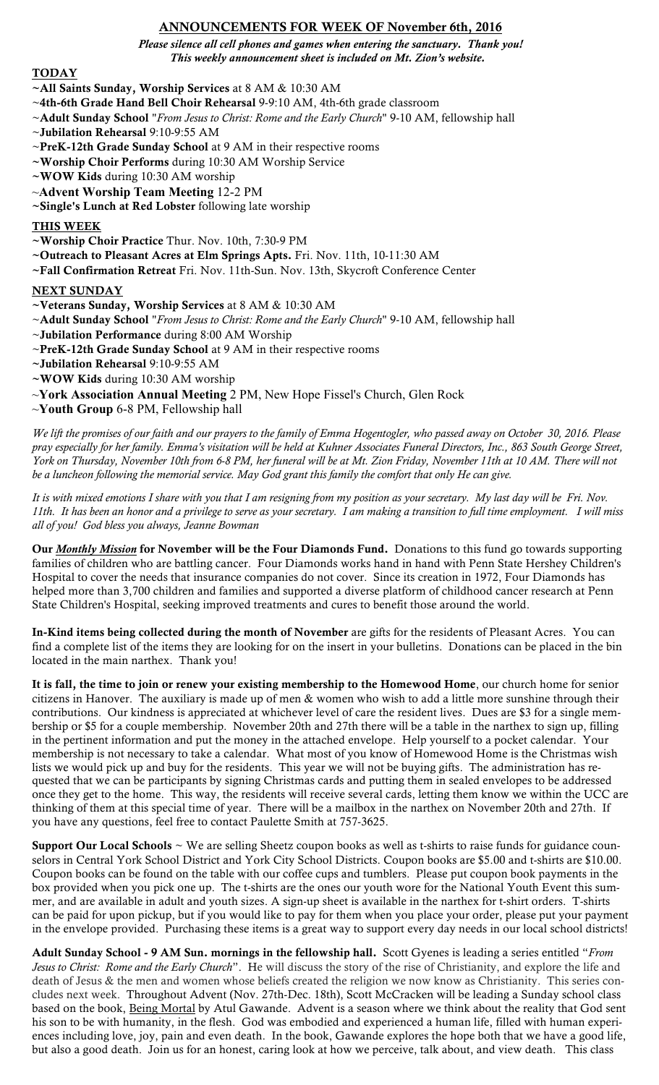## ANNOUNCEMENTS FOR WEEK OF November 6th, 2016

*Please silence all cell phones and games when entering the sanctuary. Thank you! This weekly announcement sheet is included on Mt. Zion's website.*

## **TODAY**

- ~All Saints Sunday, Worship Services at 8 AM & 10:30 AM
- ~4th-6th Grade Hand Bell Choir Rehearsal 9-9:10 AM, 4th-6th grade classroom
- ~Adult Sunday School "*From Jesus to Christ: Rome and the Early Church*" 9-10 AM, fellowship hall
- ~Jubilation Rehearsal 9:10-9:55 AM
- ~PreK-12th Grade Sunday School at 9 AM in their respective rooms
- ~Worship Choir Performs during 10:30 AM Worship Service
- ~WOW Kids during 10:30 AM worship
- ~**Advent Worship Team Meeting** 12-2 PM
- ~Single's Lunch at Red Lobster following late worship

### THIS WEEK

- ~Worship Choir Practice Thur. Nov. 10th, 7:30-9 PM
- ~Outreach to Pleasant Acres at Elm Springs Apts. Fri. Nov. 11th, 10-11:30 AM
- ~Fall Confirmation Retreat Fri. Nov. 11th-Sun. Nov. 13th, Skycroft Conference Center

### NEXT SUNDAY

- ~Veterans Sunday, Worship Services at 8 AM & 10:30 AM
- ~Adult Sunday School "*From Jesus to Christ: Rome and the Early Church*" 9-10 AM, fellowship hall
- ~Jubilation Performance during 8:00 AM Worship
- ~PreK-12th Grade Sunday School at 9 AM in their respective rooms
- ~Jubilation Rehearsal 9:10-9:55 AM
- ~WOW Kids during 10:30 AM worship
- ~**York Association Annual Meeting** 2 PM, New Hope Fissel's Church, Glen Rock
- ~**Youth Group** 6-8 PM, Fellowship hall

*We lift the promises of our faith and our prayers to the family of Emma Hogentogler, who passed away on October 30, 2016. Please pray especially for her family. Emma's visitation will be held at Kuhner Associates Funeral Directors, Inc., 863 South George Street, York on Thursday, November 10th from 6-8 PM, her funeral will be at Mt. Zion Friday, November 11th at 10 AM. There will not be a luncheon following the memorial service. May God grant this family the comfort that only He can give.*

*It is with mixed emotions I share with you that I am resigning from my position as your secretary. My last day will be Fri. Nov. 11th. It has been an honor and a privilege to serve as your secretary. I am making a transition to full time employment. I will miss all of you! God bless you always, Jeanne Bowman*

Our *Monthly Mission* for November will be the Four Diamonds Fund. Donations to this fund go towards supporting families of children who are battling cancer. Four Diamonds works hand in hand with Penn State Hershey Children's Hospital to cover the needs that insurance companies do not cover. Since its creation in 1972, Four Diamonds has helped more than 3,700 children and families and supported a diverse platform of childhood cancer research at Penn State Children's Hospital, seeking improved treatments and cures to benefit those around the world.

In-Kind items being collected during the month of November are gifts for the residents of Pleasant Acres. You can find a complete list of the items they are looking for on the insert in your bulletins. Donations can be placed in the bin located in the main narthex. Thank you!

It is fall, the time to join or renew your existing membership to the Homewood Home, our church home for senior citizens in Hanover. The auxiliary is made up of men & women who wish to add a little more sunshine through their contributions. Our kindness is appreciated at whichever level of care the resident lives. Dues are \$3 for a single membership or \$5 for a couple membership. November 20th and 27th there will be a table in the narthex to sign up, filling in the pertinent information and put the money in the attached envelope. Help yourself to a pocket calendar. Your membership is not necessary to take a calendar. What most of you know of Homewood Home is the Christmas wish lists we would pick up and buy for the residents. This year we will not be buying gifts. The administration has requested that we can be participants by signing Christmas cards and putting them in sealed envelopes to be addressed once they get to the home. This way, the residents will receive several cards, letting them know we within the UCC are thinking of them at this special time of year. There will be a mailbox in the narthex on November 20th and 27th. If you have any questions, feel free to contact Paulette Smith at 757-3625.

Support Our Local Schools  $\sim$  We are selling Sheetz coupon books as well as t-shirts to raise funds for guidance counselors in Central York School District and York City School Districts. Coupon books are \$5.00 and t-shirts are \$10.00. Coupon books can be found on the table with our coffee cups and tumblers. Please put coupon book payments in the box provided when you pick one up. The t-shirts are the ones our youth wore for the National Youth Event this summer, and are available in adult and youth sizes. A sign-up sheet is available in the narthex for t-shirt orders. T-shirts can be paid for upon pickup, but if you would like to pay for them when you place your order, please put your payment in the envelope provided. Purchasing these items is a great way to support every day needs in our local school districts!

Adult Sunday School - 9 AM Sun. mornings in the fellowship hall. Scott Gyenes is leading a series entitled "*From Jesus to Christ: Rome and the Early Church*". He will discuss the story of the rise of Christianity, and explore the life and death of Jesus & the men and women whose beliefs created the religion we now know as Christianity. This series concludes next week. Throughout Advent (Nov. 27th-Dec. 18th), Scott McCracken will be leading a Sunday school class based on the book, Being Mortal by Atul Gawande. Advent is a season where we think about the reality that God sent his son to be with humanity, in the flesh. God was embodied and experienced a human life, filled with human experiences including love, joy, pain and even death. In the book, Gawande explores the hope both that we have a good life, but also a good death. Join us for an honest, caring look at how we perceive, talk about, and view death. This class